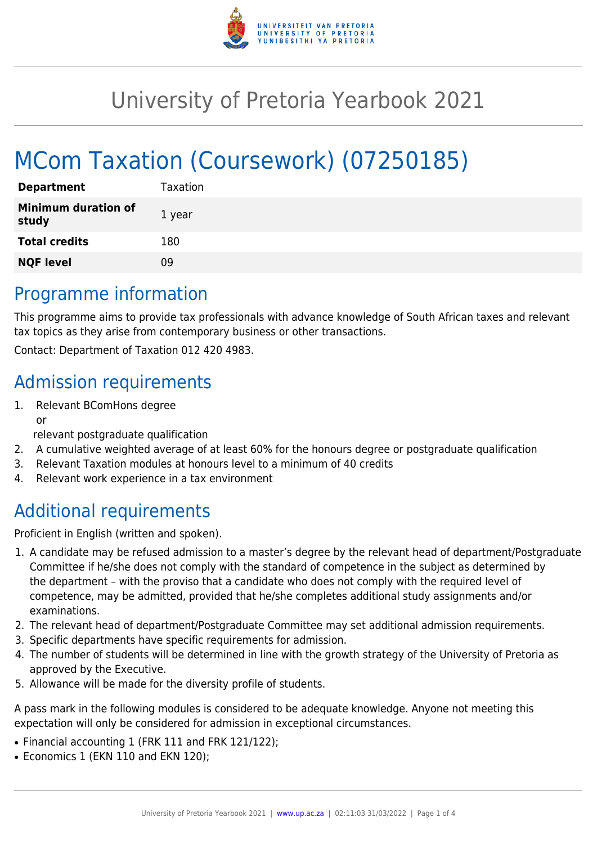

## University of Pretoria Yearbook 2021

# MCom Taxation (Coursework) (07250185)

| <b>Department</b>                   | Taxation |
|-------------------------------------|----------|
| <b>Minimum duration of</b><br>study | 1 year   |
| <b>Total credits</b>                | 180      |
| <b>NQF level</b>                    | Ωg       |

### Programme information

This programme aims to provide tax professionals with advance knowledge of South African taxes and relevant tax topics as they arise from contemporary business or other transactions.

Contact: Department of Taxation 012 420 4983.

### Admission requirements

1. Relevant BComHons degree or

relevant postgraduate qualification

- 2. A cumulative weighted average of at least 60% for the honours degree or postgraduate qualification
- 3. Relevant Taxation modules at honours level to a minimum of 40 credits
- 4. Relevant work experience in a tax environment

## Additional requirements

Proficient in English (written and spoken).

- 1. A candidate may be refused admission to a master's degree by the relevant head of department/Postgraduate Committee if he/she does not comply with the standard of competence in the subject as determined by the department – with the proviso that a candidate who does not comply with the required level of competence, may be admitted, provided that he/she completes additional study assignments and/or examinations.
- 2. The relevant head of department/Postgraduate Committee may set additional admission requirements.
- 3. Specific departments have specific requirements for admission.
- 4. The number of students will be determined in line with the growth strategy of the University of Pretoria as approved by the Executive.
- 5. Allowance will be made for the diversity profile of students.

A pass mark in the following modules is considered to be adequate knowledge. Anyone not meeting this expectation will only be considered for admission in exceptional circumstances.

- Financial accounting 1 (FRK 111 and FRK 121/122);
- Economics 1 (EKN 110 and EKN 120);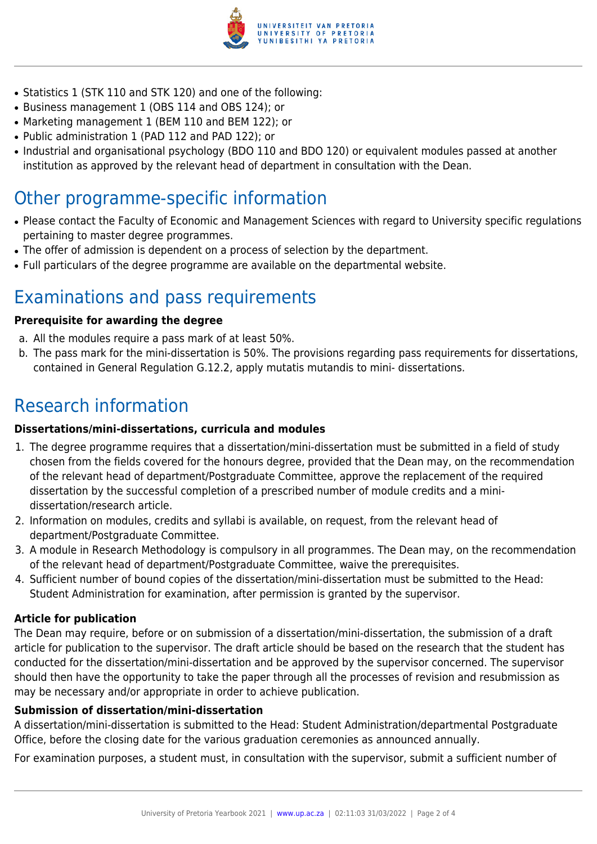

- Statistics 1 (STK 110 and STK 120) and one of the following:
- Business management 1 (OBS 114 and OBS 124); or
- Marketing management 1 (BEM 110 and BEM 122); or
- Public administration 1 (PAD 112 and PAD 122); or
- Industrial and organisational psychology (BDO 110 and BDO 120) or equivalent modules passed at another institution as approved by the relevant head of department in consultation with the Dean.

#### Other programme-specific information

- Please contact the Faculty of Economic and Management Sciences with regard to University specific regulations pertaining to master degree programmes.
- The offer of admission is dependent on a process of selection by the department.
- Full particulars of the degree programme are available on the departmental website.

### Examinations and pass requirements

#### **Prerequisite for awarding the degree**

- a. All the modules require a pass mark of at least 50%.
- b. The pass mark for the mini-dissertation is 50%. The provisions regarding pass requirements for dissertations, contained in General Regulation G.12.2, apply mutatis mutandis to mini- dissertations.

### Research information

#### **Dissertations/mini-dissertations, curricula and modules**

- 1. The degree programme requires that a dissertation/mini-dissertation must be submitted in a field of study chosen from the fields covered for the honours degree, provided that the Dean may, on the recommendation of the relevant head of department/Postgraduate Committee, approve the replacement of the required dissertation by the successful completion of a prescribed number of module credits and a minidissertation/research article.
- 2. Information on modules, credits and syllabi is available, on request, from the relevant head of department/Postgraduate Committee.
- 3. A module in Research Methodology is compulsory in all programmes. The Dean may, on the recommendation of the relevant head of department/Postgraduate Committee, waive the prerequisites.
- 4. Sufficient number of bound copies of the dissertation/mini-dissertation must be submitted to the Head: Student Administration for examination, after permission is granted by the supervisor.

#### **Article for publication**

The Dean may require, before or on submission of a dissertation/mini-dissertation, the submission of a draft article for publication to the supervisor. The draft article should be based on the research that the student has conducted for the dissertation/mini-dissertation and be approved by the supervisor concerned. The supervisor should then have the opportunity to take the paper through all the processes of revision and resubmission as may be necessary and/or appropriate in order to achieve publication.

#### **Submission of dissertation/mini-dissertation**

A dissertation/mini-dissertation is submitted to the Head: Student Administration/departmental Postgraduate Office, before the closing date for the various graduation ceremonies as announced annually.

For examination purposes, a student must, in consultation with the supervisor, submit a sufficient number of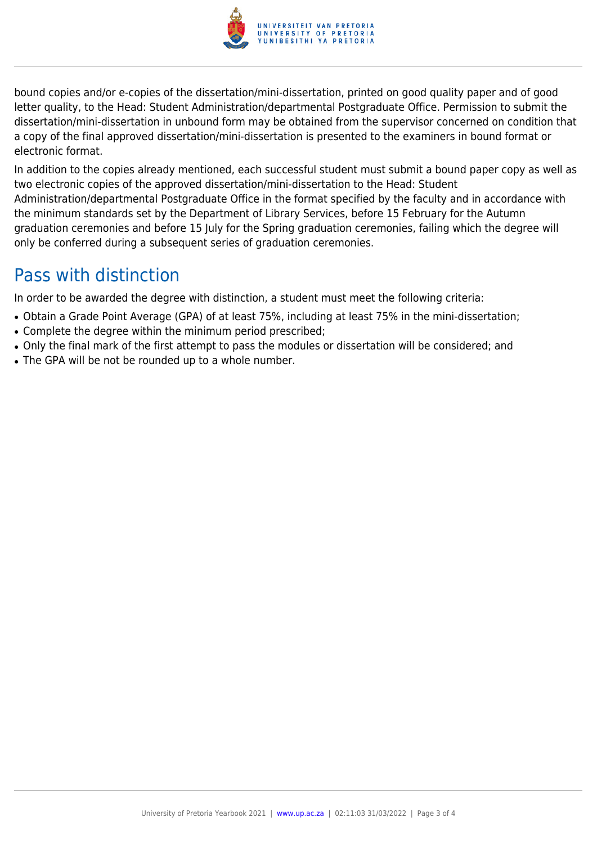

bound copies and/or e-copies of the dissertation/mini-dissertation, printed on good quality paper and of good letter quality, to the Head: Student Administration/departmental Postgraduate Office. Permission to submit the dissertation/mini-dissertation in unbound form may be obtained from the supervisor concerned on condition that a copy of the final approved dissertation/mini-dissertation is presented to the examiners in bound format or electronic format.

In addition to the copies already mentioned, each successful student must submit a bound paper copy as well as two electronic copies of the approved dissertation/mini-dissertation to the Head: Student Administration/departmental Postgraduate Office in the format specified by the faculty and in accordance with the minimum standards set by the Department of Library Services, before 15 February for the Autumn graduation ceremonies and before 15 July for the Spring graduation ceremonies, failing which the degree will only be conferred during a subsequent series of graduation ceremonies.

### Pass with distinction

In order to be awarded the degree with distinction, a student must meet the following criteria:

- Obtain a Grade Point Average (GPA) of at least 75%, including at least 75% in the mini-dissertation;
- Complete the degree within the minimum period prescribed;
- Only the final mark of the first attempt to pass the modules or dissertation will be considered; and
- The GPA will be not be rounded up to a whole number.